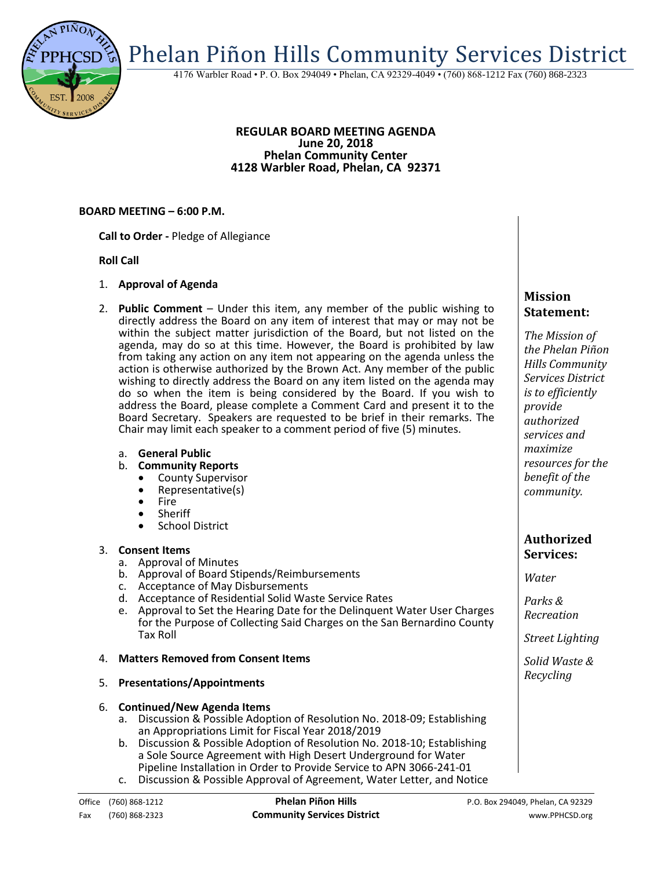Phelan Piñon Hills Community Services District

4176 Warbler Road • P. O. Box 294049 • Phelan, CA 92329-4049 • (760) 868-1212 Fax (760) 868-2323

#### **REGULAR BOARD MEETING AGENDA June 20, 2018 Phelan Community Center 4128 Warbler Road, Phelan, CA 92371**

### **BOARD MEETING – 6:00 P.M.**

**Call to Order -** Pledge of Allegiance

### **Roll Call**

- 1. **Approval of Agenda**
- 2. **Public Comment**  Under this item, any member of the public wishing to directly address the Board on any item of interest that may or may not be within the subject matter jurisdiction of the Board, but not listed on the agenda, may do so at this time. However, the Board is prohibited by law from taking any action on any item not appearing on the agenda unless the action is otherwise authorized by the Brown Act. Any member of the public wishing to directly address the Board on any item listed on the agenda may do so when the item is being considered by the Board. If you wish to address the Board, please complete a Comment Card and present it to the Board Secretary. Speakers are requested to be brief in their remarks. The Chair may limit each speaker to a comment period of five (5) minutes.
	- a. **General Public**
	- b. **Community Reports**
		- County Supervisor
		- Representative(s)
		- Fire
		- Sheriff
		- **•** School District

### 3. **Consent Items**

- a. Approval of Minutes
- b. Approval of Board Stipends/Reimbursements
- c. Acceptance of May Disbursements
- d. Acceptance of Residential Solid Waste Service Rates
- e. Approval to Set the Hearing Date for the Delinquent Water User Charges for the Purpose of Collecting Said Charges on the San Bernardino County Tax Roll

### 4. **Matters Removed from Consent Items**

5. **Presentations/Appointments**

## 6. **Continued/New Agenda Items**

- a. Discussion & Possible Adoption of Resolution No. 2018-09; Establishing an Appropriations Limit for Fiscal Year 2018/2019
- b. Discussion & Possible Adoption of Resolution No. 2018-10; Establishing a Sole Source Agreement with High Desert Underground for Water Pipeline Installation in Order to Provide Service to APN 3066-241-01
- c. Discussion & Possible Approval of Agreement, Water Letter, and Notice

# **Mission Statement:**

*The Mission of the Phelan Piñon Hills Community Services District is to efficiently provide authorized services and maximize resources for the benefit of the community.*

## **Authorized Services:**

*Water*

*Parks & Recreation*

*Street Lighting*

*Solid Waste & Recycling*